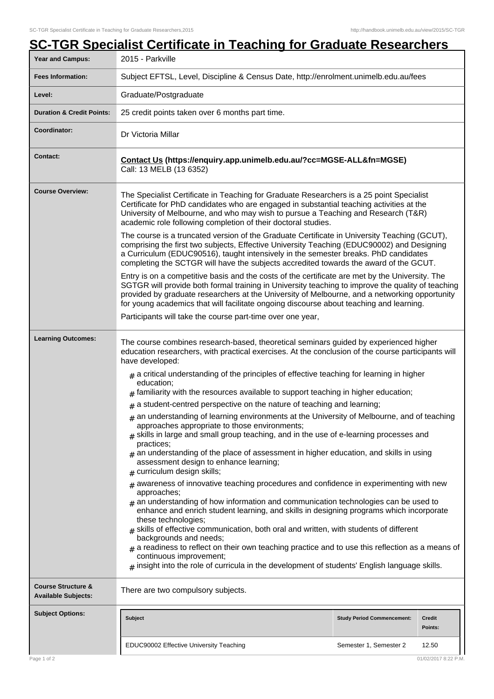| Year and Campus:                                            | 2015 - Parkville                                                                                                                                                                                                                                                                                                                                                                                                                                                                                                                         |  |  |  |
|-------------------------------------------------------------|------------------------------------------------------------------------------------------------------------------------------------------------------------------------------------------------------------------------------------------------------------------------------------------------------------------------------------------------------------------------------------------------------------------------------------------------------------------------------------------------------------------------------------------|--|--|--|
| <b>Fees Information:</b>                                    | Subject EFTSL, Level, Discipline & Census Date, http://enrolment.unimelb.edu.au/fees                                                                                                                                                                                                                                                                                                                                                                                                                                                     |  |  |  |
| Level:                                                      | Graduate/Postgraduate                                                                                                                                                                                                                                                                                                                                                                                                                                                                                                                    |  |  |  |
| <b>Duration &amp; Credit Points:</b>                        | 25 credit points taken over 6 months part time.                                                                                                                                                                                                                                                                                                                                                                                                                                                                                          |  |  |  |
| Coordinator:                                                | Dr Victoria Millar                                                                                                                                                                                                                                                                                                                                                                                                                                                                                                                       |  |  |  |
| <b>Contact:</b>                                             | Contact Us (https://enquiry.app.unimelb.edu.au/?cc=MGSE-ALL&fn=MGSE)<br>Call: 13 MELB (13 6352)                                                                                                                                                                                                                                                                                                                                                                                                                                          |  |  |  |
| <b>Course Overview:</b>                                     | The Specialist Certificate in Teaching for Graduate Researchers is a 25 point Specialist<br>Certificate for PhD candidates who are engaged in substantial teaching activities at the<br>University of Melbourne, and who may wish to pursue a Teaching and Research (T&R)<br>academic role following completion of their doctoral studies.<br>The course is a truncated version of the Graduate Certificate in University Teaching (GCUT),<br>comprising the first two subjects, Effective University Teaching (EDUC90002) and Designing |  |  |  |
|                                                             | a Curriculum (EDUC90516), taught intensively in the semester breaks. PhD candidates<br>completing the SCTGR will have the subjects accredited towards the award of the GCUT.                                                                                                                                                                                                                                                                                                                                                             |  |  |  |
|                                                             | Entry is on a competitive basis and the costs of the certificate are met by the University. The<br>SGTGR will provide both formal training in University teaching to improve the quality of teaching<br>provided by graduate researchers at the University of Melbourne, and a networking opportunity<br>for young academics that will facilitate ongoing discourse about teaching and learning.                                                                                                                                         |  |  |  |
|                                                             | Participants will take the course part-time over one year,                                                                                                                                                                                                                                                                                                                                                                                                                                                                               |  |  |  |
| <b>Learning Outcomes:</b>                                   | The course combines research-based, theoretical seminars guided by experienced higher<br>education researchers, with practical exercises. At the conclusion of the course participants will<br>have developed:                                                                                                                                                                                                                                                                                                                           |  |  |  |
|                                                             | $_{\text{\#}}$ a critical understanding of the principles of effective teaching for learning in higher<br>education;<br>$th$ familiarity with the resources available to support teaching in higher education;                                                                                                                                                                                                                                                                                                                           |  |  |  |
|                                                             | $#$ a student-centred perspective on the nature of teaching and learning;                                                                                                                                                                                                                                                                                                                                                                                                                                                                |  |  |  |
|                                                             | $#$ an understanding of learning environments at the University of Melbourne, and of teaching<br>approaches appropriate to those environments;<br>$#$ skills in large and small group teaching, and in the use of e-learning processes and<br>practices:                                                                                                                                                                                                                                                                                 |  |  |  |
|                                                             | an understanding of the place of assessment in higher education, and skills in using<br>assessment design to enhance learning;<br>curriculum design skills;<br>#                                                                                                                                                                                                                                                                                                                                                                         |  |  |  |
|                                                             | awareness of innovative teaching procedures and confidence in experimenting with new<br>approaches;<br>$#$ an understanding of how information and communication technologies can be used to<br>enhance and enrich student learning, and skills in designing programs which incorporate<br>these technologies;                                                                                                                                                                                                                           |  |  |  |
|                                                             | skills of effective communication, both oral and written, with students of different<br>backgrounds and needs;<br>$_{\#}$ a readiness to reflect on their own teaching practice and to use this reflection as a means of<br>continuous improvement;<br>$_{\text{\#}}$ insight into the role of curricula in the development of students' English language skills.                                                                                                                                                                        |  |  |  |
| <b>Course Structure &amp;</b><br><b>Available Subjects:</b> | There are two compulsory subjects.                                                                                                                                                                                                                                                                                                                                                                                                                                                                                                       |  |  |  |
| <b>Subject Options:</b>                                     | <b>Subject</b><br><b>Study Period Commencement:</b><br><b>Credit</b><br>Points:                                                                                                                                                                                                                                                                                                                                                                                                                                                          |  |  |  |
|                                                             | EDUC90002 Effective University Teaching<br>Semester 1, Semester 2<br>12.50                                                                                                                                                                                                                                                                                                                                                                                                                                                               |  |  |  |